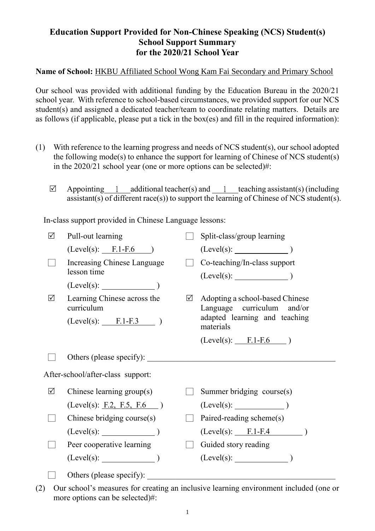## **Education Support Provided for Non-Chinese Speaking (NCS) Student(s) School Support Summary for the 2020/21 School Year**

**Name of School:** HKBU Affiliated School Wong Kam Fai Secondary and Primary School

Our school was provided with additional funding by the Education Bureau in the 2020/21 school year. With reference to school-based circumstances, we provided support for our NCS student(s) and assigned a dedicated teacher/team to coordinate relating matters. Details are as follows (if applicable, please put a tick in the box(es) and fill in the required information):

- (1) With reference to the learning progress and needs of NCS student(s), our school adopted the following mode(s) to enhance the support for learning of Chinese of NCS student(s) in the 2020/21 school year (one or more options can be selected)#:
	- $\boxtimes$  Appointing 1 additional teacher(s) and 1 teaching assistant(s) (including assistant(s) of different race(s)) to support the learning of Chinese of NCS student(s).

In-class support provided in Chinese Language lessons:

| ☑                                 | Pull-out learning                         |   | Split-class/group learning                                    |
|-----------------------------------|-------------------------------------------|---|---------------------------------------------------------------|
|                                   | $(Level(s):$ F.1-F.6 )                    |   |                                                               |
|                                   | Increasing Chinese Language               |   | Co-teaching/In-class support                                  |
|                                   | lesson time                               |   |                                                               |
|                                   | (Level(s):                                |   |                                                               |
| $\sqrt{}$                         | Learning Chinese across the<br>curriculum | ☑ | Adopting a school-based Chinese<br>Language curriculum and/or |
|                                   | $(Level(s):$ F.1-F.3 )                    |   | adapted learning and teaching<br>materials                    |
|                                   |                                           |   | $(Level(s):$ F.1-F.6 )                                        |
|                                   | Others (please specify):                  |   |                                                               |
| After-school/after-class support: |                                           |   |                                                               |
| ☑                                 | Chinese learning group(s)                 |   | Summer bridging course(s)                                     |
|                                   | (Level(s): F.2, F.5, F.6)                 |   | $(Level(s):$ (Level(s):                                       |
|                                   | Chinese bridging course(s)                |   | Paired-reading scheme(s)                                      |
|                                   | $(Level(s):$ $)$                          |   | $(Level(s):$ $F.1-F.4$                                        |
|                                   | Peer cooperative learning                 |   | Guided story reading                                          |
|                                   | $(Level(s):$ )                            |   | $(Level(s):$ (Level(s):                                       |
|                                   | Others (please specify): _____            |   |                                                               |

(2) Our school's measures for creating an inclusive learning environment included (one or more options can be selected)#: